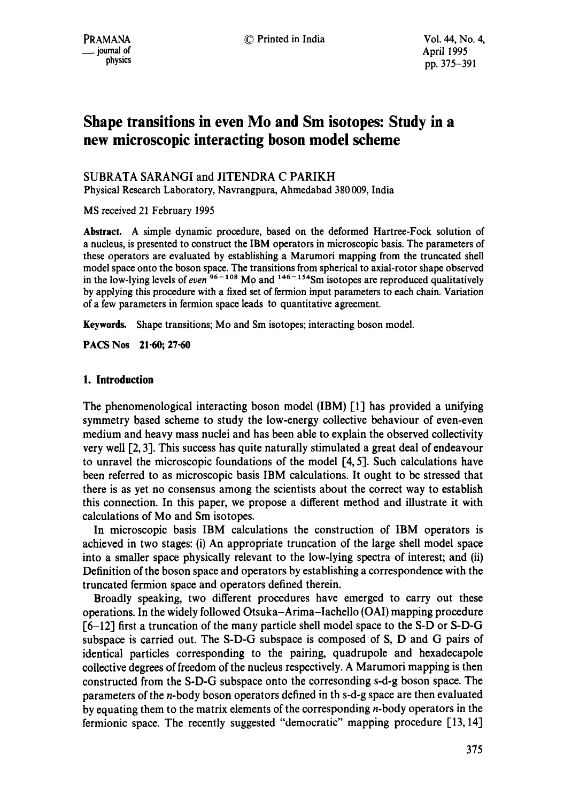# **Shape transitions in even Mo and Sm isotopes: Study in a new microscopic interacting boson model scheme**

SUBRATA SARANGI and JITENDRA C PARIKH

Physical Research Laboratory, Navrangpura, Ahmedabad 380 009, India

MS received 21 February 1995

**Abstract.** A simple dynamic procedure, based on the deformed Hartree-Fock solution of a nucleus, is presented to construct the IBM operators in microscopic basis. The parameters of these operators are evaluated by establishing a Marumori mapping from the truncated shell model space onto the boson space. The transitions from spherical to axial-rotor shape observed in the low-lying levels of *even*  $96 - 108$  Mo and  $146 - 154$  Sm isotopes are reproduced qualitatively by applying this procedure with a fixed set of fermion input parameters to each chain. Variation of a few parameters in fermion space leads to quantitative agreement.

**Keywords.** Shape transitions; Mo and Sm isotopes; interacting boson model.

**PACS Nos 21.60; 27.60** 

## **1. Introduction**

The phenomenological interacting boson model (IBM) [1] has provided a unifying symmetry based scheme to study the low-energy collective behaviour of even-even medium and heavy mass nuclei and has been able to explain the observed collectivity very well [2, 3]. This success has quite naturally stimulated a great deal of endeavour to unravel the microscopic foundations of the model [4, 5]. Such calculations have been referred to as microscopic basis IBM calculations. It ought to be stressed that there is as yet no consensus among the scientists about the correct way to establish this connection. In this paper, we propose a different method and illustrate it with calculations of Mo and Sm isotopes.

In microscopic basis IBM calculations the construction of IBM operators is achieved in two stages: (i) An appropriate truncation of the large shell model space into a smaller space physically relevant to the low-lying spectra of interest; and (ii) Definition of the boson space and operators by establishing a correspondence with the truncated fermion space and operators defined therein.

Broadly speaking, two different procedures have emerged to carry out these operations. In the widely followed Otsuka-Arima-Iachello (OAI) mapping procedure l6-12] first a truncation of the many particle shell model space to the S-D or S-D-G subspace is carried out. The S-D-G subspace is composed of S, D and G pairs of identical particles corresponding to the pairing, quadrupole and hexadecapole collective degrees of freedom of the nucleus respectively. A Marumori mapping is then constructed from the S-D-G subspace onto the corresonding s-d-g boson space. The parameters of the n-body boson operators defined in th s-d-g space are then evaluated by equating them to the matrix elements of the corresponding n-body operators in the fermionic space. The recently suggested "democratic" mapping procedure [13, 14]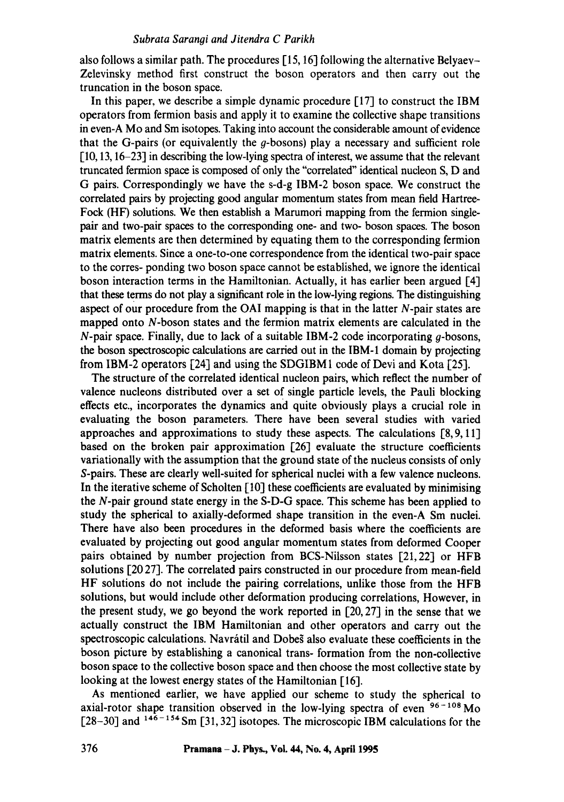also follows a similar path. The procedures [15, 16] following the alternative Belyaev-Zelevinsky method first construct the boson operators and then carry out the truncation in the boson space.

In this paper, we describe a simple dynamic procedure [17] to construct the IBM operators from fermion basis and apply it to examine the collective shape transitions in even-A Mo and Sm isotopes. Taking into account the considerable amount of evidence that the G-pairs (or equivalently the  $g$ -bosons) play a necessary and sufficient role [10, 13, 16-23] in describing the low-lying spectra of interest, we assume that the relevant truncated fermion space is composed of only the "correlated" identical nucleon S, D and G pairs. Correspondingly we have the s-d-g IBM-2 boson space. We construct the correlated pairs by projecting good angular momentum states from mean fidd Hartrce-Fock (HF) solutions. We then establish a Marumori mapping from the fermion singlepair and two-pair spaces to the corresponding one- and two- boson spaces. The boson matrix elements are then determined by equating them to the corresponding fermion matrix elements. Since a one-to-one correspondence from the identical two-pair space to the corres- ponding two boson space cannot be established, we ignore the identical boson interaction terms in the Hamiltonian. Actually, it has earlier been argued [4] that these terms do not play a significant role in the low-lying regions. The distinguishing aspect of our procedure from the OAI mapping is that in the latter N-pair states are mapped onto N-boson states and the fermion matrix elements are calculated in the  $N$ -pair space. Finally, due to lack of a suitable IBM-2 code incorporating  $q$ -bosons, the boson spectroscopic calculations are carried out in the IBM-1 domain by projecting from IBM-2 operators  $[24]$  and using the SDGIBM1 code of Devi and Kota  $[25]$ .

The structure of the correlated identical nucleon pairs, which reflect the number of valence nucleons distributed over a set of single particle levels, the Pauli blocking effects etc., incorporates the dynamics and quite obviously plays a crucial role in evaluating the boson parameters. There have been several studies with varied approaches and approximations to study these aspects. The calculations [8,9, 11] based on the broken pair approximation [26] evaluate the structure coefficients variationally with the assumption that the ground state of the nucleus consists of only S-pairs. These are clearly well-suited for spherical nuclei with a few valence nucleons. In the iterative scheme of Scholten [10] these coefficients are evaluated by minimising the N-pair ground state energy in the S-D-G space. This scheme has been applied to study the spherical to axially-deformed shape transition in the even-A Sm nuclei. There have also been procedures in the deformed basis where the coefficients are evaluated by projecting out good angular momentum states from deformed Cooper pairs obtained by number projection from BCS-Nilsson states [21,22] or HFB solutions [20 27]. The correlated pairs constructed in our procedure from mean-field HF solutions do not include the pairing correlations, unlike those from the HFB solutions, but would include other deformation producing correlations, However, in the present study, we go beyond the work reported in [20, 27] in the sense that we actually construct the IBM Hamiltonian and other operators and carry out the spectroscopic calculations. Navrátil and Dobes also evaluate these coefficients in the boson picture by establishing a canonical trans- formation from the non-collective boson space to the collective boson space and then choose the most collective state by looking at the lowest energy states of the Hamiltonian [16].

As mentioned earlier, we have applied our scheme to study the spherical to axial-rotor shape transition observed in the low-lying spectra of even  $96 - 108$  Mo  $[28-30]$  and  $146-154$  Sm  $[31, 32]$  isotopes. The microscopic IBM calculations for the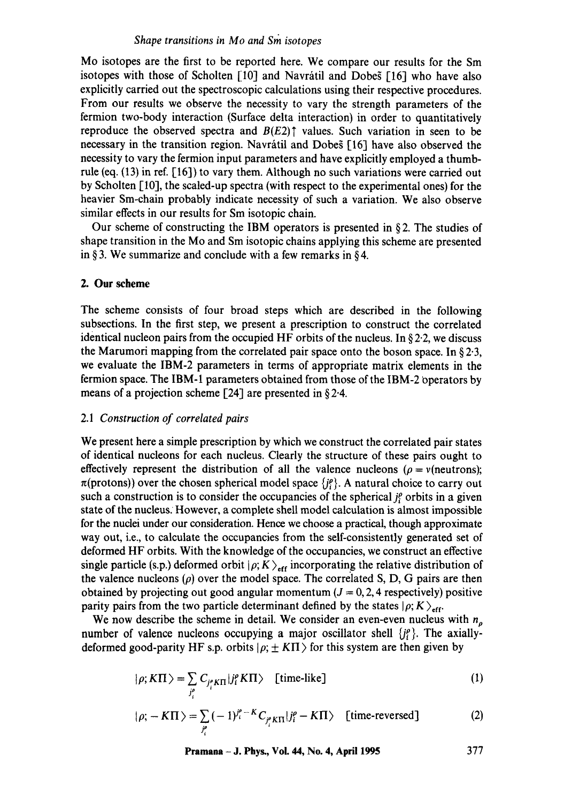Mo isotopes are the first to be reported here. We compare our results for the Sm isotopes with those of Scholten  $[10]$  and Navrátil and Dobes  $[16]$  who have also explicitly carried out the spectroscopic calculations using their respective procedures. From our results we observe the necessity to vary the strength parameters of the fermion two-body interaction (Surface delta interaction) in order to quantitatively reproduce the observed spectra and  $B(E2)$ <sup>†</sup> values. Such variation in seen to be necessary in the transition region. Navrátil and Dobes [16] have also observed the necessity to vary the fermion input parameters and have explicitly employed a thumbrule (eq. (13) in ref. [16]) to vary them. Although no such variations were carried out by Scholten [10], the scaled-up spectra (with respect to the experimental ones) for the heavier Sm-chain probably indicate necessity of such a variation. We also observe similar effects in our results for Sm isotopic chain.

Our scheme of constructing the IBM operators is presented in  $\S 2$ . The studies of shape transition in the Mo and Sm isotopic chains applying this scheme are presented in § 3. We summarize and conclude with a few remarks in § 4.

## 2. Our scheme

The scheme consists of four broad steps which are described in the following subsections. In the first step, we present a prescription to construct the correlated identical nucleon pairs from the occupied HF orbits of the nucleus. In  $\S 2.2$ , we discuss the Marumori mapping from the correlated pair space onto the boson space. In  $\S 2.3$ , we evaluate the IBM-2 parameters in terms of appropriate matrix elements in the fermion space. The IBM-1 parameters obtained from those of the IBM-2 Operators by means of a projection scheme [24] are presented in  $\S 2.4$ .

#### 2.1 *Construction of correlated pairs*

We present here a simple prescription by which we construct the correlated pair states of identical nucleons for each nucleus. Clearly the structure of these pairs ought to effectively represent the distribution of all the valence nucleons ( $\rho = v$ (neutrons);  $\pi$ (protons)) over the chosen spherical model space  $\{j^{\rho}\}\$ . A natural choice to carry out such a construction is to consider the occupancies of the spherical  $i<sup>o</sup>$  orbits in a given state of the nucleus: However, a complete shell model calculation is almost impossible for the nuclei under our consideration. Hence we choose a practical, though approximate way out, i.e., to calculate the occupancies from the self-consistently generated set of deformed HF orbits. With the knowledge of the occupancies, we construct an effective single particle (s.p.) deformed orbit  $|\rho; K\rangle$ <sub>eff</sub> incorporating the relative distribution of the valence nucleons  $(\rho)$  over the model space. The correlated S, D, G pairs are then obtained by projecting out good angular momentum  $(J = 0, 2, 4$  respectively) positive parity pairs from the two particle determinant defined by the states  $|\rho; K\rangle_{eff}$ .

We now describe the scheme in detail. We consider an even-even nucleus with  $n<sub>\rho</sub>$ number of valence nucleons occupying a major oscillator shell  $\{j_i^{\rho}\}$ . The axiallydeformed good-parity HF s.p. orbits  $|\rho; \pm K \Pi \rangle$  for this system are then given by

$$
|\rho; K\Pi \rangle = \sum_{j_i^e} C_{j_i^e K\Pi} |j_i^e K\Pi \rangle \quad \text{[time-like]} \tag{1}
$$

$$
|\rho; -K\Pi\rangle = \sum_{j_i^o} (-1)^{j_i^o - K} C_{j_i^o K\Pi} |j_i^o - K\Pi\rangle \quad \text{[time-reversed]}
$$
 (2)

**Pramana - J. Phys., Vol. 44, No. 4, April 1995 377**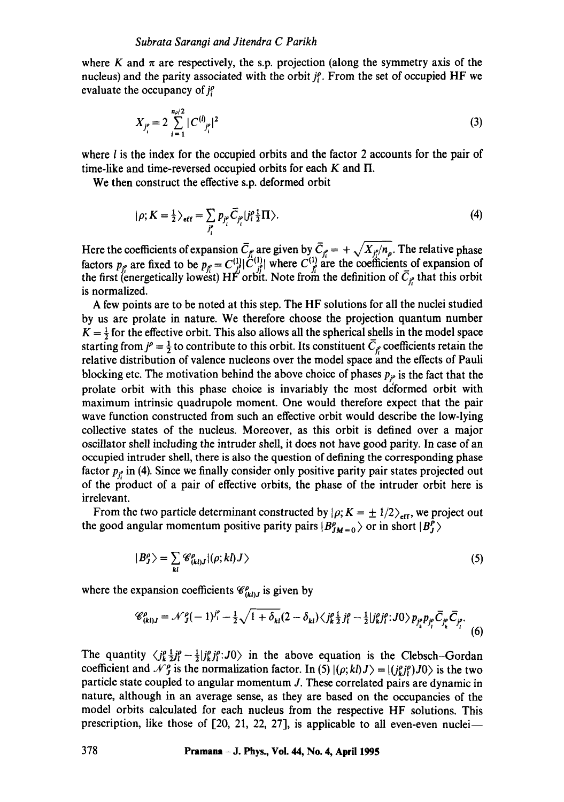where K and  $\pi$  are respectively, the s.p. projection (along the symmetry axis of the nucleus) and the parity associated with the orbit  $j_i^c$ . From the set of occupied HF we evaluate the occupancy of  $j_i^o$ 

$$
X_{j_i^o} = 2 \sum_{i=1}^{n_p/2} |C^{(i)}_{j_i^o}|^2
$$
 (3)

where  $l$  is the index for the occupied orbits and the factor 2 accounts for the pair of time-like and time-reversed occupied orbits for each  $K$  and  $\Pi$ .

We then construct the effective s.p. deformed orbit

$$
|\rho; K = \frac{1}{2} \rangle_{\text{eff}} = \sum_{j_i^o} p_{j_i^o} \overline{C}_{j_i^o} | j_i^o \frac{1}{2} \Pi \rangle. \tag{4}
$$

Here the coefficients of expansion  $C_f$  are given by  $C_f = + \sqrt{X_f/n_p}$ . The relative phase factors  $p_{i}$  are fixed to be  $p_{i} = C^{(1)}_{i} | \tilde{C}^{(1)}_{i} |$  where  $C^{(1)}_{i}$  are the coefficients of expansion of the first (energetically lowest) HF orbit. Note from the definition of  $C_{if}$  that this orbit is normalized.

A few points are to be noted at this step. The HF solutions for all the nuclei studied by us are prolate in nature. We therefore choose the projection quantum number  $K = \frac{1}{2}$  for the effective orbit. This also allows all the spherical shells in the model space starting from  $j^{\rho} = \frac{1}{2}$  to contribute to this orbit. Its constituent  $\overline{C}_{j_{\rho}^{\rho}}$  coefficients retain the relative distribution of valence nucleons over the model space and the effects of Pauli blocking etc. The motivation behind the above choice of phases  $p_{i\sigma}$  is the fact that the prolate orbit with this phase choice is invariably the most deformed orbit with maximum intrinsic quadrupole moment. One would therefore expect that the pair wave function constructed from such an effective orbit would describe the low-lying collective states of the nucleus. Moreover, as this orbit is defined over a major oscillator shell including the intruder shell, it does not have good parity. In case of an occupied intruder shell, there is also the question of defining the corresponding phase factor  $p_f$  in (4). Since we finally consider only positive parity pair states projected out of the product of a pair of effective orbits, the phase of the intruder orbit here is irrelevant.

From the two particle determinant constructed by  $|\rho; K = \pm 1/2\rangle_{eff}$ , we project out the good angular momentum positive parity pairs  $|B_{JM=0}^p\rangle$  or in short  $|B_J^p\rangle$ 

$$
|B^{\rho}_{J}\rangle = \sum_{kl} \mathscr{C}^{\rho}_{(kl)J} |(\rho;kl)J\rangle \tag{5}
$$

where the expansion coefficients  $\mathcal{C}_{(kl)j}^{\rho}$  is given by

$$
\mathscr{C}^{\rho}_{(kl)J} = \mathscr{N}^{\rho}_{J}(-1)^{j^{\rho}} - \frac{1}{2}\sqrt{1+\delta_{kl}}(2-\delta_{kl})\langle j^{\rho}_{k}\frac{1}{2}j^{\rho}_{l} - \frac{1}{2}|j^{\rho}_{kl}j^{\rho}_{l};J0\rangle p_{j^{\rho}_{l}}\bar{D}_{j^{\rho}_{l}}\bar{C}_{j^{\rho}_{l}}.
$$
 (6)

The quantity  $\langle j^{\rho}_k \frac{1}{2} j^{\rho}_l - \frac{1}{2} | j^{\rho}_k j^{\rho}_l : J0 \rangle$  in the above equation is the Clebsch-Gordan coefficient and  $\mathcal{N}_{J}^{\rho}$  is the normalization factor. In (5)  $|(\rho; kl)J\rangle = |(j_{kl}^{\rho}j_{l}^{\rho})J0\rangle$  is the two particle state coupled to angular momentum J. These correlated pairs are dynamic in nature, although in an average sense, as they are based on the occupancies of the model orbits calculated for each nucleus from the respective HF solutions. This prescription, like those of  $[20, 21, 22, 27]$ , is applicable to all even-even nuclei--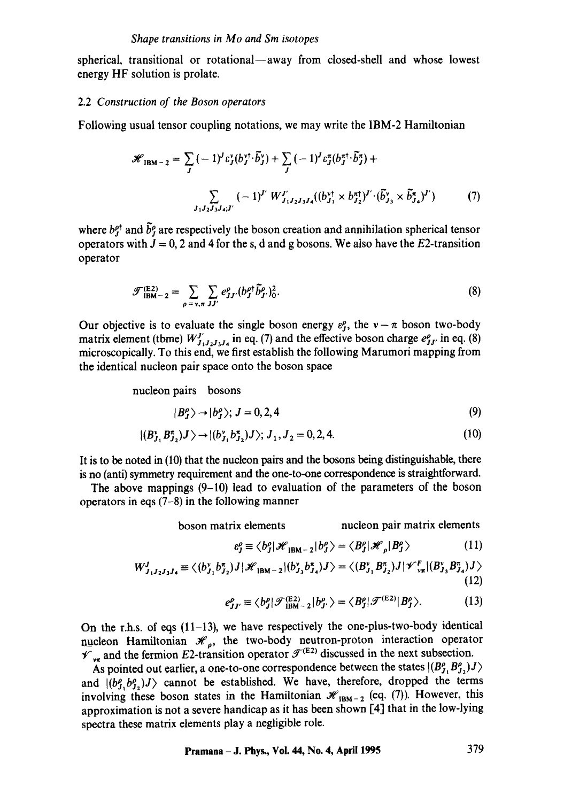spherical, transitional or rotational--away from closed-shell and whose lowest energy HF solution is prolate.

#### 2.2 *Construction of the Boson operators*

Following usual tensor coupling notations, we may write the IBM-2 Hamiltonian

$$
\mathcal{H}_{\text{IBM}-2} = \sum_{J} (-1)^{J} \varepsilon_{J}^{v} (b_{J}^{v\dagger} \cdot \tilde{b}_{J}^{v}) + \sum_{J} (-1)^{J} \varepsilon_{J}^{x} (b_{J}^{\pi \dagger} \cdot \tilde{b}_{J}^{\pi}) +
$$

$$
\sum_{J_{1}J_{2}J_{3}J_{4}; J'} (-1)^{J'} W_{J_{1}J_{2}J_{3}J_{4}}^{J'} ((b_{J_{1}}^{v\dagger} \times b_{J_{2}}^{\pi \dagger})^{J'} \cdot (\tilde{b}_{J_{3}}^{v} \times \tilde{b}_{J_{4}}^{\pi})^{J'}) \tag{7}
$$

where  $b^{p^*}$  and  $\tilde{b}^p$  are respectively the boson creation and annihilation spherical tensor operators with  $J = 0$ , 2 and 4 for the s, d and g bosons. We also have the E2-transition operator

$$
\mathcal{F}_{\text{IBM}-2}^{(\text{E2})} = \sum_{\rho = v, \pi} \sum_{JJ'} e_{JJ'}^{\rho} (b_J^{\rho \dagger} \tilde{b}_{J'}^{\rho})_0^2.
$$
 (8)

Our objective is to evaluate the single boson energy  $\varepsilon_{j}^{p}$ , the  $v-\pi$  boson two-body matrix element (tbme)  $W'_{J_1J_2J_3J_4}$  in eq. (7) and the effective boson charge  $e^{\rho}_{J_1}$  in eq. (8) microscopically. To this end, we first establish the following Marumori mapping from the identical nucleon pair space onto the boson space

nucleon pairs bosons

$$
|B^{\rho}_J\rangle \rightarrow |b^{\rho}_J\rangle; J = 0, 2, 4
$$
 (9)

$$
|(B_{J_1}^v B_{J_2}^{\pi})J \rangle \rightarrow |(b_{J_1}^v b_{J_2}^{\pi})J \rangle; J_1, J_2 = 0, 2, 4.
$$
 (10)

It is to be noted in (10) that the nucleon pairs and the bosons being distinguishable, there is no (anti) symmetry requirement and the one-to-one correspondence is straightforward.

The above mappings  $(9-10)$  lead to evaluation of the parameters of the boson operators in eqs (7-8) in the following manner

boson matrix elements nucleon pair matrix elements

$$
\varepsilon_J^{\rho} \equiv \langle b_J^{\rho} | \mathcal{H}_{\text{IBM}-2} | b_J^{\rho} \rangle = \langle B_J^{\rho} | \mathcal{H}_{\rho} | B_J^{\rho} \rangle \tag{11}
$$

$$
W_{J_1J_2J_3J_4}^J \equiv \langle (b_{J_1}^{\nu} b_{J_2}^{\tau}) J | \mathcal{H}_{\text{IBM}-2} | (b_{J_3}^{\nu} b_{J_4}^{\tau}) J \rangle = \langle (B_{J_1}^{\nu} B_{J_2}^{\tau}) J | \mathcal{V}_{\nu\pi}^F | (B_{J_3}^{\nu} B_{J_4}^{\tau}) J \rangle
$$
\n(12)

$$
e_{JJ'}^{\rho} \equiv \langle b_J^{\rho} | \mathcal{F}_{\text{IBM}-2}^{(\text{E2})} | b_{J'}^{\rho} \rangle = \langle B_J^{\rho} | \mathcal{F}^{(\text{E2})} | B_J^{\rho} \rangle. \tag{13}
$$

On the r.h.s. of eqs  $(11-13)$ , we have respectively the one-plus-two-body identical nucleon Hamiltonian  $\mathcal{H}_o$ , the two-body neutron-proton interaction operator  $\mathcal{V}_{v\pi}$  and the fermion E2-transition operator  $\mathcal{F}^{(E2)}$  discussed in the next subsection.

As pointed out earlier, a one-to-one correspondence between the states  $|(B_{J_1}^{\rho} B_{J_2}^{\rho})J\rangle$ and  $|(b<sub>j</sub>, b<sub>j</sub>,j)<sub>j</sub>$  cannot be established. We have, therefore, dropped the terms involving these boson states in the Hamiltonian  $\mathcal{H}_{IBM-2}$  (eq. (7)). However, this approximation is not a severe handicap as it has been shown [4] that in the low-lying spectra these matrix elements play a negligible role.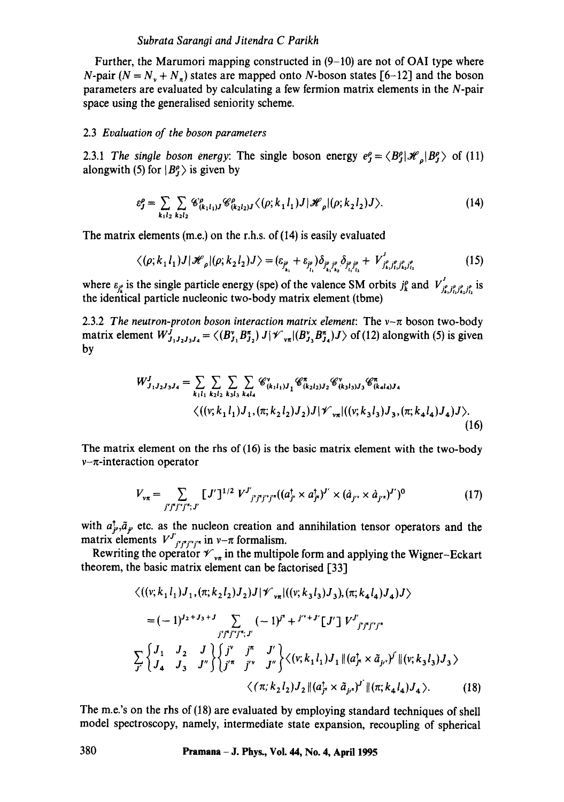#### *Subrata Sarangi and Jitendra C Parikh*

Further, the Marumori mapping constructed in  $(9-10)$  are not of OAI type where N-pair  $(N = N_y + N_z)$  states are mapped onto N-boson states [6-12] and the boson parameters are evaluated by calculating a few fermion matrix elements in the N-pair space using the generalised seniority scheme.

#### 2.3 *Evaluation of the boson parameters*

2.3.1 *The single boson energy:* The single boson energy  $e_f^{\rho} = \langle B_f^{\rho} | \mathcal{H}_{\rho} | B_f^{\rho} \rangle$  of (11) alongwith (5) for  $|B_f^{\rho}\rangle$  is given by

$$
\varepsilon_{J}^{\rho} = \sum_{k_1 l_2} \sum_{k_2 l_2} \mathscr{C}_{(k_1 l_1)J}^{\rho} \mathscr{C}_{(k_2 l_2)J}^{\rho} \langle (\rho; k_1 l_1) J | \mathscr{H}_{\rho} | (\rho; k_2 l_2) J \rangle.
$$
 (14)

The matrix elements (m.e.) on the r.h.s, of (14) is easily evaluated

$$
\langle (\rho; k_1 l_1) J | \mathcal{H}_{\rho} | (\rho; k_2 l_2) J \rangle = (\varepsilon_{j^{\rho}_{k_1}} + \varepsilon_{j^{\rho}_{l_1}}) \delta_{j^{\rho}_{k_1} j^{\rho}_{k_2}} \delta_{j^{\rho}_{l_1} j^{\rho}_{l_2}} + V^{J^{\rho}_{j^{\rho}_{k_1} j^{\rho}_{l_2} j^{\rho}_{l_2}}}_{j^{\rho}_{k_1} j^{\rho}_{l_2} j^{\rho}_{l_2}} \tag{15}
$$

where  $\varepsilon_{j_i^p}$  is the single particle energy (spe) of the valence SM orbits  $j_k^p$  and  $V'_{i'_k,j'_k,j'_k,j'_k}$  is the identical particle nucleonic two-body matrix element (tbme)

2.3.2 *The neutron-proton boson interaction matrix element*: The  $v-\pi$  boson two-body matrix element  $W^J_{J_1,J_2,J_3,J_4} = \langle (B^{\nu}_{J_1} B^{\tau}_{J_2}) J \rangle \langle \mathcal{F}_{\nu_{\pi}} | (B^{\nu}_{J_3} B^{\tau}_{J_4}) J \rangle$  of (12) alongwith (5) is given by

$$
W_{J_1J_2J_3J_4}^J = \sum_{k_1l_1} \sum_{k_2l_2} \sum_{k_3l_3} \sum_{k_4l_4} \mathcal{C}_{(k_1l_1)J_1}^{\nu} \mathcal{C}_{(k_2l_2)J_2}^{\pi} \mathcal{C}_{(k_3l_3)J_3}^{\nu} \mathcal{C}_{(k_4l_4)J_4}^{\pi}
$$
  

$$
\langle ((v; k_1l_1)J_1, (\pi; k_2l_2)J_2)J | \mathcal{V}_{\nu\pi}| ((v; k_3l_3)J_3, (\pi; k_4l_4)J_4)J \rangle.
$$
  
(16)

The matrix element on the rhs of (16) is the basic matrix element with the two-body  $v-\pi$ -interaction operator

$$
V_{\nu\pi} = \sum_{j^{\nu}j^{\nu}j^{\nu}j^{\nu};J'} [J^{\nu}]^{1/2} V^{J^{\nu}}_{j^{\nu}j^{\nu}j^{\nu}j^{\nu}} ((a_{j^{\nu}}^{+} \times a_{j^{\mu}}^{+})^{J^{\nu}} \times (\dot{a}_{j^{\nu}} \times \dot{a}_{j^{\nu}})^{J^{\nu}})^{0}
$$
(17)

with  $a_F^{\dagger}, \tilde{a}_F$  etc. as the nucleon creation and annihilation tensor operators and the matrix elements  $V^J_{j^*j^*j'^*}$  in  $\nu-\pi$  formalism.

Rewriting the operator  ${\mathcal V}_{\nu_{\pi}}$  in the multipole form and applying the Wigner-Eckart theorem, the basic matrix element can be factorised [33]

$$
\langle ((v; k_1 l_1) J_1, (\pi; k_2 l_2) J_2) J | \mathcal{V}_{\nu\pi} | ((v; k_3 l_3) J_3), (\pi; k_4 l_4) J_4) J \rangle
$$
  
=  $(-1)^{J_2 + J_3 + J} \sum_{j' j' j' j' j'', J'} (-1)^{j\pi} + j'^{\nu+J'} [J'] V^{J'}_{j' j' j' j''} \times$   

$$
\sum_{j'} \begin{cases} J_1 & J_2 & J \\ J_4 & J_3 & J'' \end{cases} \begin{cases} j^{\nu} & j^{\pi} & J' \\ j'^{\pi} & j'^{\nu} & J'' \end{cases} \begin{cases} \langle (v; k_1 l_1) J_1 || (a_{j\pi}^{\dagger} \times \tilde{a}_{j\mu})^{j'} || (v; k_3 l_3) J_3 \rangle \\ \langle (\pi; k_2 l_2) J_2 || (a_{j\pi}^{\dagger} \times \tilde{a}_{j\mu})^{j'} || (\pi; k_4 l_4) J_4 \rangle. \end{cases} (18)
$$

The m.e.'s on the rhs of (18) are evaluated by employing standard techniques of shell model spectroscopy, namely, intermediate state expansion, recoupling of spherical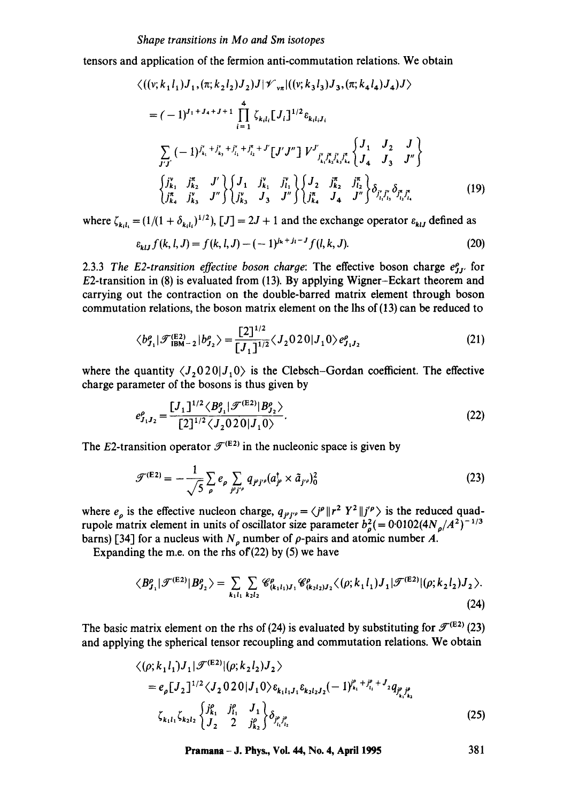#### *Shape transitions in Mo and Sm isotopes*

tensors and application of the fermion anti-commutation relations. We obtain

$$
\langle ((v; k_1 l_1) J_1, (\pi; k_2 l_2) J_2) J | \mathcal{V}_{\nu\pi} | ((v; k_3 l_3) J_3, (\pi; k_4 l_4) J_4) J \rangle
$$
  
=  $(-1)^{J_1 + J_4 + J + 1} \prod_{i=1}^4 \zeta_{k_i l_i} [J_i]^{1/2} \varepsilon_{k_i l_i J_i}$   

$$
\sum_{J'J'} (-1)^{j_{k_i}^* + j_{k_i}^* + j_{l_i}^* + j_{l_2}^* + J'} [J'J''] V^{J'}_{j_{k_i}^* j_{k_j}^* j_{k_i}^*} \begin{Bmatrix} J_1 & J_2 & J \\ J_4 & J_3 & J'' \end{Bmatrix}
$$
  

$$
\begin{Bmatrix} j_{k_1}^* & j_{k_2}^* & J' \\ j_{k_3}^* & j_{k_3}^* & J'' \end{Bmatrix} \begin{Bmatrix} J_1 & j_{k_1}^* & j_{l_1}^* \\ j_{k_2}^* & J_3 & J'' \end{Bmatrix} \begin{Bmatrix} J_2 & j_{k_2}^* & j_{l_2}^* \\ j_{k_3}^* & J_4 & J'' \end{Bmatrix} \delta_{j_i^* j_{l_3}^*} \delta_{j_{l_1}^* j_{l_4}^*}^*
$$
 (19)

where  $\zeta_{k,l} = (1/(1 + \delta_{k,l})^{1/2})$ ,  $[J] = 2J + 1$  and the exchange operator  $\varepsilon_{k,l}$  defined as

$$
\varepsilon_{klJ} f(k, l, J) = f(k, l, J) - (-1)^{j_k + j_l - J} f(l, k, J). \tag{20}
$$

2.3.3 *The E2-transition effective boson charge*: The effective boson charge  $e_{JJ}^{\rho}$  for E2-transition in (8) is evaluated from (13). By applying Wigner-Eckart theorem and carrying out the contraction on the double-barred matrix element through boson commutation relations, the boson matrix element on the lhs of (13) can be reduced to

$$
\langle b_{J_1}^{\rho} | \mathcal{F}_{\text{IBM}-2}^{(\text{E2})} | b_{J_2}^{\rho} \rangle = \frac{[2]^{1/2}}{[J_1]^{1/2}} \langle J_2 0 20 | J_1 0 \rangle e_{J_1 J_2}^{\rho} \tag{21}
$$

where the quantity  $\langle J_2 0 2 0 | J_1 0 \rangle$  is the Clebsch-Gordan coefficient. The effective charge parameter of the bosons is thus given by

$$
e_{J_1J_2}^{\rho} = \frac{[J_1]^{1/2} \langle B_{J_1}^{\rho} | \mathcal{F}^{(\text{E2})} | B_{J_2}^{\rho} \rangle}{[2]^{1/2} \langle J_2 0 2 0 | J_1 0 \rangle}.
$$
 (22)

The E2-transition operator  $\mathcal{F}^{(E2)}$  in the nucleonic space is given by

$$
\mathcal{F}^{(E2)} = -\frac{1}{\sqrt{5}} \sum_{\rho} e_{\rho} \sum_{j^{\rho}j^{\prime\rho}} q_{j^{\rho}j^{\prime\rho}} (a_{j^{\rho}}^{\dagger} \times \tilde{a}_{j^{\prime\rho}})^{2}_{0}
$$
 (23)

where  $e_{\rho}$  is the effective nucleon charge,  $q_{\mu\mu\sigma} = \langle j^{\rho} || r^2 Y^2 || j^{\prime} \rho \rangle$  is the reduced quadrupole matrix element in units of oscillator size parameter  $b_a^2$  (= 0.0102(4N<sub>o</sub>/ $A^2$ )<sup>-1/3</sup> barns) [34] for a nucleus with  $N<sub>o</sub>$  number of  $\rho$ -pairs and atomic number A.

Expanding the m.e. on the rhs of  $(22)$  by  $(5)$  we have

$$
\langle B_{J_1}^{\rho} | \mathcal{F}^{(E2)} | B_{J_2}^{\rho} \rangle = \sum_{k_1 l_1} \sum_{k_2 l_2} \mathscr{C}_{(k_1 l_1) J_1}^{\rho} \mathscr{C}_{(k_2 l_2) J_2}^{\rho} \langle (\rho; k_1 l_1) J_1 | \mathcal{F}^{(E2)} | (\rho; k_2 l_2) J_2 \rangle.
$$
\n(24)

The basic matrix element on the rhs of (24) is evaluated by substituting for  $\mathcal{F}^{(E2)}$  (23) and applying the spherical tensor recoupling and commutation relations. Wc obtain

$$
\langle (\rho; k_1 l_1) J_1 | \mathcal{F}^{(E2)} | (\rho; k_2 l_2) J_2 \rangle
$$
  
=  $e_{\rho} [J_2]^{1/2} \langle J_2 0 20 | J_1 0 \rangle \varepsilon_{k_1 l_1 J_1} \varepsilon_{k_2 l_2 J_2} (-1)^{j_{k_1}^{\rho} + j_{l_1}^{\rho} + J_2} q_{j_{k_1}^{\rho} j_{k_1}^{\rho}} \rangle$   

$$
\langle k_1 l_1 \zeta_{k_2 l_2} \rangle \begin{cases} j_{k_1}^{\rho} & j_{l_1}^{\rho} \\ J_2 & 2 \end{cases} j_{k_2}^{\rho} \Big\} \delta_{j_{l_1}^{\rho} j_{l_2}^{\rho}} (25)
$$

**Pramana - J. Phys., Vol. 44, No. 4, April 1995 381**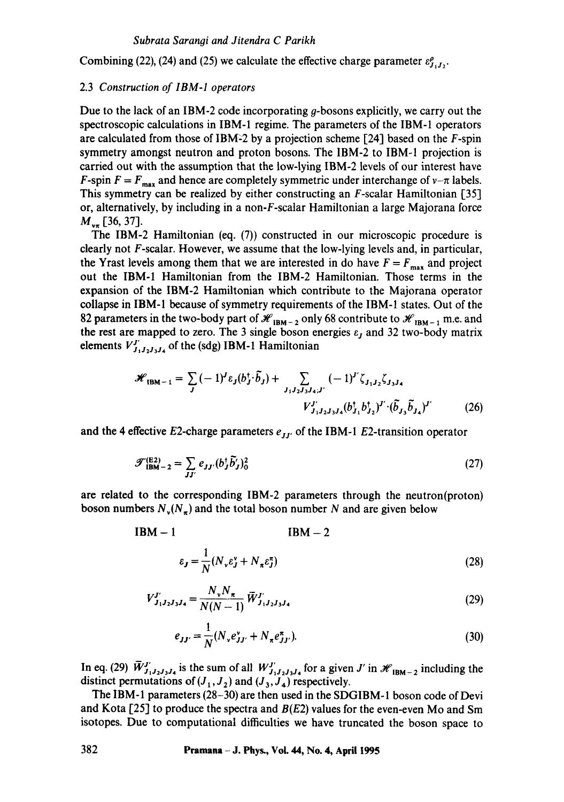Combining (22), (24) and (25) we calculate the effective charge parameter  $\varepsilon_{L,L}^{\rho}$ .

#### 2.3 *Construction of IBM-I operators*

Due to the lack of an IBM-2 code incorporating  $q$ -bosons explicitly, we carry out the spectroscopic calculations in IBM-1 regime. The parameters of the IBM-1 operators are calculated from those of IBM-2 by a projection scheme  $[24]$  based on the F-spin symmetry amongst neutron and proton bosons. The IBM-2 to IBM-1 projection is carried out with the assumption that the low-lying IBM-2 levels of our interest have F-spin  $F = F_{max}$  and hence are completely symmetric under interchange of  $v-\pi$  labels. This symmetry can be realized by either constructing an F-scalar Hamiltonian [35] or, alternatively, by including in a non-F-scalar Hamiltonian a large Majorana force  $M_{v\pi}$  [36, 37].

The IBM-2 Hamiltonian (eq. (7)) constructed in our microscopic procedure is clearly not  $F$ -scalar. However, we assume that the low-lying levels and, in particular, the Yrast levels among them that we are interested in do have  $F = F_{\text{max}}$  and project out the IBM-1 Hamiltonian from the IBM-2 Hamiltonian. Those terms in the expansion of the IBM-2 Hamiltonian which contribute to the Majorana operator collapse in IBM-1 because of symmetry requirements of the IBM-1 states. Out of the 82 parameters in the two-body part of  $\mathcal{H}_{IBM-2}$  only 68 contribute to  $\mathcal{H}_{IBM-1}$  m.e. and the rest are mapped to zero. The 3 single boson energies  $\varepsilon_j$  and 32 two-body matrix elements  $V_{J_1J_2J_3J_4}^{J_1}$  of the (sdg) IBM-1 Hamiltonian

$$
\mathcal{H}_{\text{IBM}-1} = \sum_{J} (-1)^{J} \varepsilon_{J} (b_{J}^{\dagger} \cdot \tilde{b}_{J}) + \sum_{J_{1} J_{2} J_{3} J_{4};J'} (-1)^{J'} \zeta_{J_{1} J_{2}} \zeta_{J_{3} J_{4}} \nV_{J_{1} J_{2} J_{3} J_{4}}^{J'} (b_{J_{1}}^{\dagger} b_{J_{2}}^{\dagger})^{J'} \cdot (\tilde{b}_{J_{3}} \tilde{b}_{J_{4}})^{J'} \tag{26}
$$

and the 4 effective E2-charge parameters  $e_{II}$  of the IBM-1 E2-transition operator

$$
\mathcal{F}_{\text{IBM}-2}^{(\text{E2})} = \sum_{JJ'} e_{JJ'} (b_J^{\dagger} \tilde{b}'_J)_0^2 \tag{27}
$$

are related to the corresponding IBM-2 parameters through the neutron(proton) boson numbers  $N_{\nu}(N_{\pi})$  and the total boson number N and are given below

$$
IBM - 1
$$
  

$$
\varepsilon_{J} = \frac{1}{N} (N_{\nu} \varepsilon_{J}^{\nu} + N_{\pi} \varepsilon_{J}^{\pi})
$$
 (28)

$$
V_{J_1J_2J_3J_4}^{J'} = \frac{N_v N_\pi}{N(N-1)} \,\bar{W}_{J_1J_2J_3J_4}^{J'} \tag{29}
$$

$$
e_{JJ'} = \frac{1}{N} (N_v e_{JJ'}^v + N_\pi e_{JJ'}^\pi). \tag{30}
$$

In eq. (29)  $\bar{W}_{J_1J_2J_3J_4}^{J'}$  is the sum of all  $W_{J_1J_2J_3J_4}^{J'}$  for a given J' in  $\mathcal{H}_{\text{IBM}-2}$  including the distinct permutations of  $(J_1, J_2)$  and  $(J_3, J_4)$  respectively.

The IBM-1 parameters (28-30) are then used in the SDGIBM-1 boson code of Devi and Kota [25] to produce the spectra and  $B(E2)$  values for the even-even Mo and Sm isotopes. Due to computational difficulties we have truncated the boson space to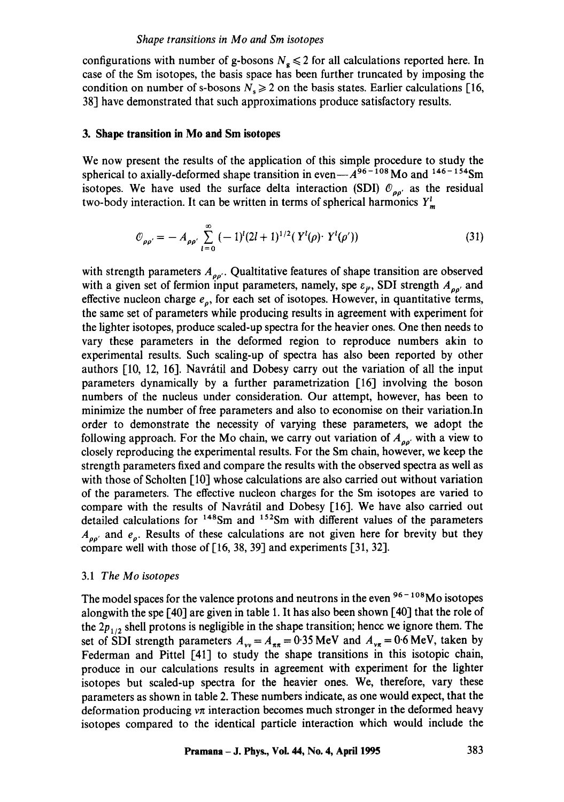configurations with number of g-bosons  $N_e \le 2$  for all calculations reported here. In case of the Sm isotopes, the basis space has been further truncated by imposing the condition on number of s-bosons  $N_s \ge 2$  on the basis states. Earlier calculations [16, 38] have demonstrated that such approximations produce satisfactory results.

## **3. Shape transition in Mo and Sm isotopes**

We now present the results of the application of this simple procedure to study the spherical to axially-deformed shape transition in even $-A^{96-108}$  Mo and  $146-154$ Sm isotopes. We have used the surface delta interaction (SDI)  $\mathcal{O}_{\rho\rho'}$  as the residual two-body interaction. It can be written in terms of spherical harmonics  $Y^l_m$ 

$$
\mathcal{O}_{\rho\rho'} = -A_{\rho\rho'} \sum_{l=0}^{\infty} (-1)^l (2l+1)^{1/2} (Y^l(\rho) \cdot Y^l(\rho')) \tag{31}
$$

with strength parameters  $A_{\rho\rho}$ . Qualtitative features of shape transition are observed with a given set of fermion input parameters, namely, spe  $\varepsilon_{\rho}$ , SDI strength  $A_{\rho\rho'}$  and effective nucleon charge  $e_{\rho}$ , for each set of isotopes. However, in quantitative terms, the same set of parameters while producing results in agreement with experiment for the lighter isotopes, produce scaled-up spectra for the heavier ones. One then needs to vary these parameters in the deformed region to reproduce numbers akin to experimental results. Such scaling-up of spectra has also been reported by other authors  $[10, 12, 16]$ . Navrátil and Dobesy carry out the variation of all the input parameters dynamically by a further parametrization [16] involving the boson numbers of the nucleus under consideration. Our attempt, however, has been to minimize the number of free parameters and also to economise on their variation.In order to demonstrate the necessity of varying these parameters, we adopt the following approach. For the Mo chain, we carry out variation of  $A_{\rho\rho}$  with a view to closely reproducing the experimental results. For the Sm chain, however, we keep the strength parameters fixed and compare the results with the observed spectra as well as with those of Scholten [10] whose calculations are also carried out without variation of the parameters. The effective nucleon charges for the Sm isotopes are varied to compare with the results of Navrátil and Dobesy [16]. We have also carried out detailed calculations for  $148$ Sm and  $152$ Sm with different values of the parameters  $A_{\rho\rho'}$  and  $e_{\rho}$ . Results of these calculations are not given here for brevity but they compare well with those of [16, 38, 39] and experiments [31, 32].

#### *3.1 The Mo isotopes*

The model spaces for the valence protons and neutrons in the even  $96 - 108$ Mo isotopes alongwith the spe [40] are given in table 1. It has also been shown [40] that the role of the  $2p_{1/2}$  shell protons is negligible in the shape transition; hence we ignore them. The set of SDI strength parameters  $A_{vv} = A_{\pi\pi} = 0.35 \text{ MeV}$  and  $A_{vx} = 0.6 \text{ MeV}$ , taken by Federman and Pittel [41] to study the shape transitions in this isotopic chain, produce in our calculations results in agreement with experiment for the lighter isotopes but scaled-up spectra for the heavier ones. We, therefore, vary these parameters as shown in table 2. These numbers indicate, as one would expect, that the deformation producing  $v\pi$  interaction becomes much stronger in the deformed heavy isotopes compared to the identical particle interaction which would include the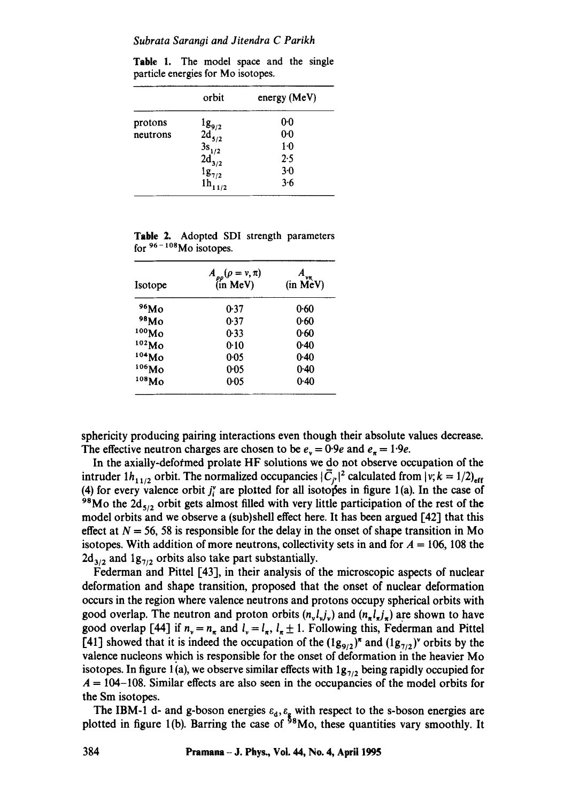Table 1. The model space and the single particle energies for Mo isotopes.

|          | orbit                                               | energy (MeV) |
|----------|-----------------------------------------------------|--------------|
| protons  |                                                     | 00           |
| neutrons | $\frac{1g_{9/2}}{2d_{5/2}}$<br>$\frac{3s_{1/2}}{2}$ | $0-0$        |
|          |                                                     | 1.0          |
|          |                                                     | 2.5          |
|          |                                                     | $3-0$        |
|          | $2d_{3/2}^{1/2}$<br>$1g_{7/2}$<br>$1h_{11}$<br>1/2  | 3.6          |

**Table** 2. Adopted SDI strength parameters for  $96 - 108$ Mo isotopes.

| Isotope           | $A_{\rho\rho}(\rho = v, \pi)$<br>(in MeV) | $(in \overrightarrow{MeV})$ |  |
|-------------------|-------------------------------------------|-----------------------------|--|
| 96M <sub>0</sub>  | 0.37                                      | 0.60                        |  |
| 98Mo              | 0.37                                      | 0.60                        |  |
| 100M <sub>0</sub> | 0-33                                      | 0.60                        |  |
| 102M <sub>O</sub> | 0.10                                      | 0.40                        |  |
| 104M <sub>O</sub> | 0.05                                      | 0.40                        |  |
| 106Mo             | 0.05                                      | 0.40                        |  |
| 108Mo             | 0.05                                      | 0.40                        |  |

sphericity producing pairing interactions even though their absolute values decrease. The effective neutron charges are chosen to be  $e_y = 0.9e$  and  $e_{\pi} = 1.9e$ .

In the axially-defofrned prolate HF solutions we do not observe occupation of the intruder  $1h_{11/2}$  orbit. The normalized occupancies  $|\overline{C}_r|^2$  calculated from  $|v; k = 1/2\rangle_{\text{eff}}$ (4) for every valence orbit  $j_i^r$  are plotted for all isotopes in figure 1(a). In the case of <sup>98</sup>Mo the  $2d_{5/2}$  orbit gets almost filled with very little participation of the rest of the model orbits and we observe a (sub)shell effect here. It has been argued [42] that this effect at  $N = 56$ , 58 is responsible for the delay in the onset of shape transition in Mo isotopes. With addition of more neutrons, collectivity sets in and for  $A = 106$ , 108 the  $2d_{3/2}$  and  $1g_{7/2}$  orbits also take part substantially.

Federman and Pittel [43], in their analysis of the microscopic aspects of nuclear deformation and shape transition, proposed that the onset of nuclear deformation occurs in the region where valence neutrons and protons occupy spherical orbits with good overlap. The neutron and proton orbits  $(n_v l_v j_v)$  and  $(n_x l_x j_x)$  are shown to have good overlap [44] if  $n_v = n_{\pi}$  and  $l_v = l_{\pi}$ ,  $l_{\pi} \pm 1$ . Following this, Federman and Pittel [41] showed that it is indeed the occupation of the  $(\lg_{9/2})^x$  and  $(\lg_{7/2})^y$  orbits by the valence nucleons which is responsible for the onset of deformation in the heavier Mo isotopes. In figure 1(a), we observe similar effects with  $1g_{7/2}$  being rapidly occupied for  $A = 104 - 108$ . Similar effects are also seen in the occupancies of the model orbits for the Sm isotopes.

The IBM-1 d- and g-boson energies  $\varepsilon_d$ ,  $\varepsilon_g$  with respect to the s-boson energies are plotted in figure 1(b). Barring the case of  $58$ Mo, these quantities vary smoothly. It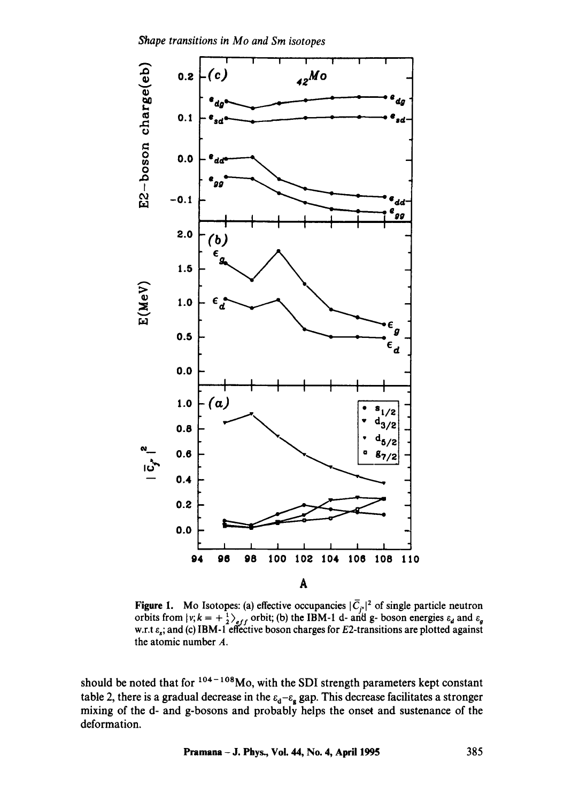Shape transitions in Mo and Sm isotopes



**Figure 1.** Mo Isotopes: (a) effective occupancies  $|\overline{C}_{j'}|^2$  of single particle neutron orbits from  $|v; k = +\frac{1}{2}\rangle_{eff}$  orbit; (b) the IBM-1 d- and g- boson energies  $\varepsilon_d$  and  $\varepsilon_g$  w.r.t  $\varepsilon_s$ ; and (c) IBM-1 effect the atomic number A.

should be noted that for  $104 - 108$  Mo, with the SDI strength parameters kept constant table 2, there is a gradual decrease in the  $\varepsilon_d - \varepsilon_g$  gap. This decrease facilitates a stronger mixing of the d- and g-bosons and probably helps the onset and sustenance of the deformation.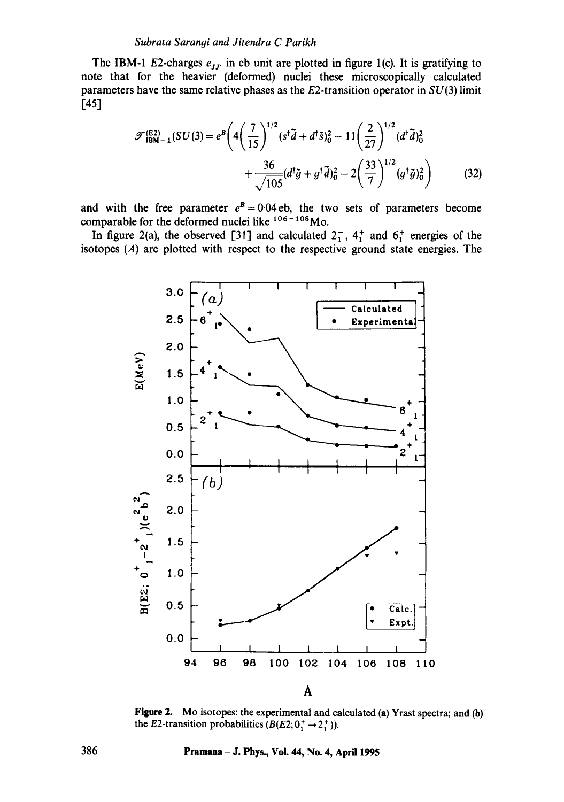#### Subrata Sarangi and Jitendra C Parikh

The IBM-1 E2-charges  $e_{JJ'}$  in eb unit are plotted in figure 1(c). It is gratifying to note that for the heavier (deformed) nuclei these microscopically calculated parameters have the same relative phases as the  $E2$ -transition operator in  $SU(3)$  limit  $[45]$ 

$$
\mathcal{F}_{\text{IBM}-1}^{(E2)}(SU(3)) = e^B \left( 4 \left( \frac{7}{15} \right)^{1/2} (s^{\dagger} \tilde{d} + d^{\dagger} \tilde{s})_0^2 - 11 \left( \frac{2}{27} \right)^{1/2} (d^{\dagger} \tilde{d})_0^2 + \frac{36}{\sqrt{105}} (d^{\dagger} \tilde{g} + g^{\dagger} \tilde{d})_0^2 - 2 \left( \frac{33}{7} \right)^{1/2} (g^{\dagger} \tilde{g})_0^2 \right) \tag{32}
$$

and with the free parameter  $e^B = 0.04$  eb, the two sets of parameters become comparable for the deformed nuclei like  $106 - 108$ Mo.

In figure 2(a), the observed [31] and calculated  $2^+_1$ ,  $4^+_1$  and  $6^+_1$  energies of the isotopes  $(A)$  are plotted with respect to the respective ground state energies. The



Figure 2. Mo isotopes: the experimental and calculated (a) Yrast spectra; and (b) the E2-transition probabilities  $(B(E2; 0^+_1 \rightarrow 2^+_1))$ .

Pramana - J. Phys., Vol. 44, No. 4, April 1995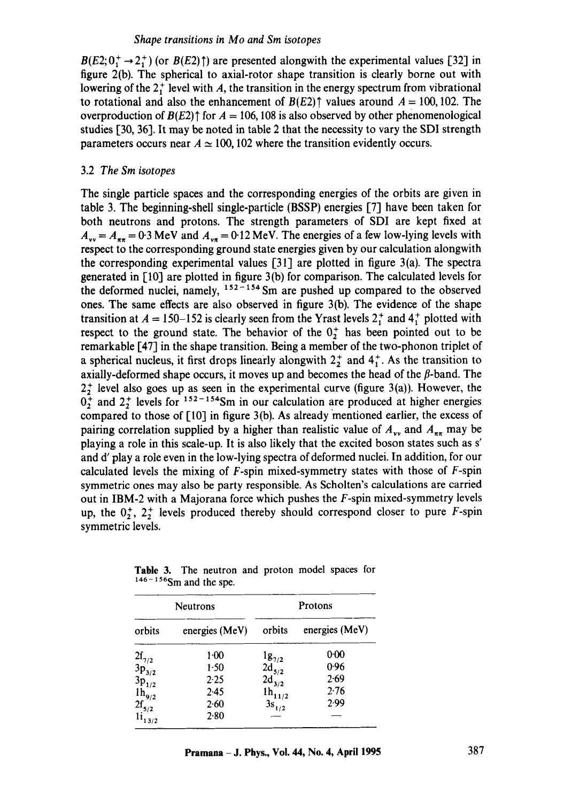$B(E2; 0^+_1 \rightarrow 2^+_1)$  (or  $B(E2)$ ) are presented alongwith the experimental values [32] in figure 2(b). The spherical to axial-rotor shape transition is clearly borne out with lowering of the  $2^{+}_{1}$  level with A, the transition in the energy spectrum from vibrational to rotational and also the enhancement of  $B(E2)$ <sup> $\uparrow$ </sup> values around  $A = 100, 102$ . The overproduction of  $B(E2)$ <sup> $\uparrow$ </sup> for  $A = 106, 108$  is also observed by other phenomenological studies [30, 36]. It may be noted in table 2 that the necessity to vary the SDI strength parameters occurs near  $A \approx 100$ , 102 where the transition evidently occurs.

# 3.2 *The Sm isotopes*

The single particle spaces and the corresponding energies of the orbits are given in table 3. The beginning-sheU single-particle (BSSP) energies [7] have been taken for both neutrons and protons. The strength parameters of SDI are kept fixed at  $A_{vv} = A_{\pi\pi} = 0.3$  MeV and  $A_{vx} = 0.12$  MeV. The energies of a few low-lying levels with respect to the corresponding ground state energies given by our calculation alongwith the corresponding experimental values [311 are plotted in figure 3(a). The spectra generated in [10] are plotted in figure 3(b) for comparison. The calculated levels for the deformed nuclei, namely,  $152 - 154$  Sm are pushed up compared to the observed ones. The same effects are also observed in figure 3(b). The evidence of the shape transition at  $A = 150 - 152$  is clearly seen from the Yrast levels  $2<sub>1</sub><sup>+</sup>$  and  $4<sub>1</sub><sup>+</sup>$  plotted with respect to the ground state. The behavior of the  $0<sub>2</sub><sup>+</sup>$  has been pointed out to be remarkable [47] in the shape transition. Being a member of the two-phonon triplet of a spherical nucleus, it first drops linearly alongwith  $2^{+}_{2}$  and  $4^{+}_{1}$ . As the transition to axially-deformed shape occurs, it moves up and becomes the head of the  $\beta$ -band. The  $2<sub>1</sub><sup>+</sup>$  level also goes up as seen in the experimental curve (figure 3(a)). However, the  $0^{+}$  and  $2^{+}$  levels for  $152 - 154$ Sm in our calculation are produced at higher energies compared to those of [10] in figure 3(b). As already mentioned earlier, the excess of pairing correlation supplied by a higher than realistic value of  $A_{yy}$  and  $A_{\pi\pi}$  may be playing a role in this scale-up. It is also likely that the excited boson states such as s' and d' play a role even in the low-lying spectra of deformed nuclei. In addition, for our calculated levels the mixing of  $F$ -spin mixed-symmetry states with those of  $F$ -spin symmetric ones may also be party responsible. As Scholten's calculations are carried out in IBM-2 with a Majorana force which pushes the F-spin mixed-symmetry levels up, the  $0^+_2$ ,  $2^+_2$  levels produced thereby should correspond closer to pure F-spin symmetric levels.

| Neutrons                                                                                                                            |                | Protons                                               |                |
|-------------------------------------------------------------------------------------------------------------------------------------|----------------|-------------------------------------------------------|----------------|
| orbits                                                                                                                              | energies (MeV) | orbits                                                | energies (MeV) |
|                                                                                                                                     | $1-00$         |                                                       | 0.00           |
|                                                                                                                                     | 1.50           | $\frac{1g_{7/2}}{2d_{5/2}}$<br>$\frac{2d_{3/2}}{3/2}$ | 0.96           |
|                                                                                                                                     | 2.25           |                                                       | 2.69           |
|                                                                                                                                     | 2.45           | $1h_{11/2}$                                           | 2.76           |
|                                                                                                                                     | 2.60           | $3s_{1/2}$                                            | 2.99           |
| 2f <sub>7/2</sub><br>3p <sub>3/2</sub><br>3p <sub>1/2</sub><br>1h <sub>9/2</sub><br>2f <sub>5/2</sub><br>1i <sub>13/2</sub><br>13/2 | 2.80           |                                                       |                |

**Table** 3. The neutron and proton model spaces for  $146 - 156$ Sm and the spe.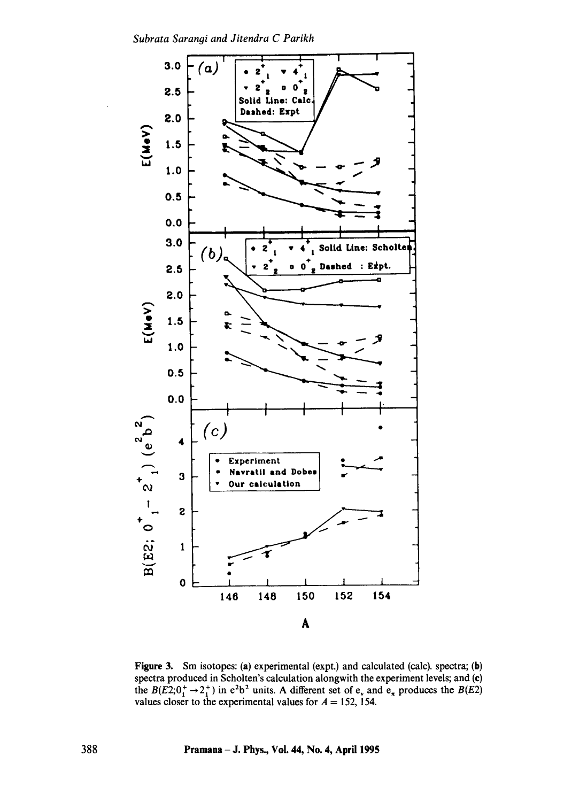Subrata Sarangi and Jitendra C Parikh



Figure 3. Sm isotopes: (a) experimental (expt.) and calculated (calc). spectra; (b) spectra produced in Scholten's calculation alongwith the experiment levels; and (c) the  $B(E2; 0^+_1 \rightarrow 2^+_1)$  in  $e^2b^2$  units. A different set of  $e_v$  and  $e_{\pi}$  produces the  $B(E2)$ <br>values closer to the experimental values for  $A = 152$ , 154.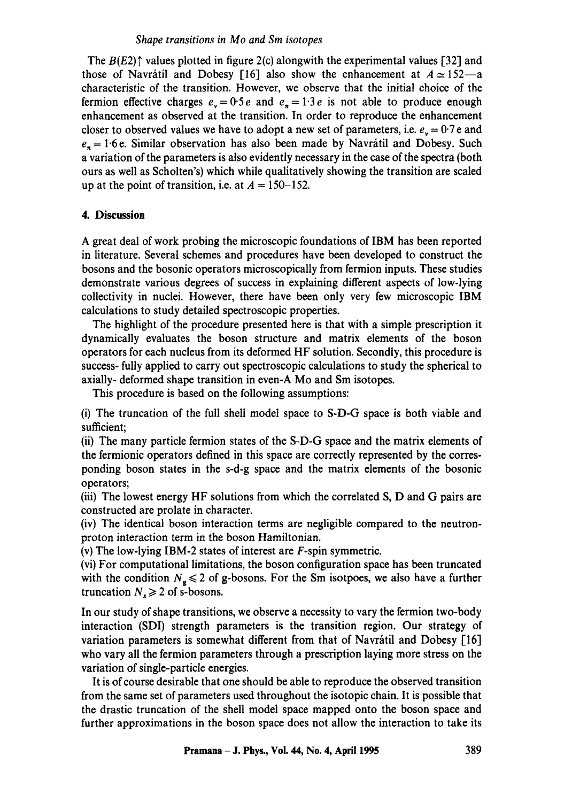#### *Shape transitions in Mo and Sm isotopes*

The  $B(E2)$ <sup> $\dagger$ </sup> values plotted in figure 2(c) alongwith the experimental values [32] and those of Navrátil and Dobesy [16] also show the enhancement at  $A \approx 152-a$ characteristic of the transition. However, we observe that the initial choice of the fermion effective charges  $e_y = 0.5e$  and  $e_x = 1.3e$  is not able to produce enough enhancement as observed at the transition. In order to reproduce the enhancement closer to observed values we have to adopt a new set of parameters, i.e.  $e_y = 0.7$  e and  $e_7 = 1.6$  e. Similar observation has also been made by Navrátil and Dobesy. Such a variation of the parameters is also evidently necessary in the case of the spectra (both ours as well as Scholten's) which while qualitatively showing the transition are scaled up at the point of transition, i.e. at  $A = 150-152$ .

#### **4. Discussion**

A great deal of work probing the microscopic foundations of IBM has been reported in literature. Several schemes and procedures have been developed to construct the bosons and the bosonic operators microscopically from fermion inputs. These studies demonstrate various degrees of success in explaining different aspects of low-lying collectivity in nuclei. However, there have been only very few microscopic IBM calculations to study detailed spectroscopic properties.

The highlight of the procedure presented here is that with a simple prescription it dynamically evaluates the boson structure and matrix elements of the boson operators for each nucleus from its deformed HF solution. Secondly, this procedure is success- fully applied to carry out spectroscopic calculations to study the spherical to axially- deformed shape transition in even-A Mo and Sm isotopes.

This procedure is based on the following assumptions:

(i) The truncation of the full shell model space to S-D-G space is both viable and sufficient;

(ii) The many particle fermion states of the S-D-G space and the matrix elements of the fermionic operators defined in this space are correctly represented by the corresponding boson states in the s-d-g space and the matrix dements of the bosonic operators;

(iii) The lowest energy HF solutions from which the correlated S, D and G pairs are constructed are prolate in character.

(iv) The identical boson interaction terms are negligible compared to the neutronproton interaction term in the boson Hamiltonian.

(v) The low-lying IBM-2 states of interest are F-spin symmetric.

(vi) For computational limitations, the boson configuration space has been truncated with the condition  $N_g \le 2$  of g-bosons. For the Sm isotpoes, we also have a further truncation  $N_s \ge 2$  of s-bosons.

In our study of shape transitions, we observe a necessity to vary the fermion two-body interaction (SDI) strength parameters is the transition region. Our strategy of variation parameters is somewhat different from that of Navrátil and Dobesy  $[16]$ who vary all the fermion parameters through a prescription laying more stress on the variation of single-particle energies.

It is of course desirable that one should be able to reproduce the observed transition from the same set of parameters used throughout the isotopic chain. It is possible that the drastic truncation of the shell model space mapped onto the boson space and further approximations in the boson space does not allow the interaction to take its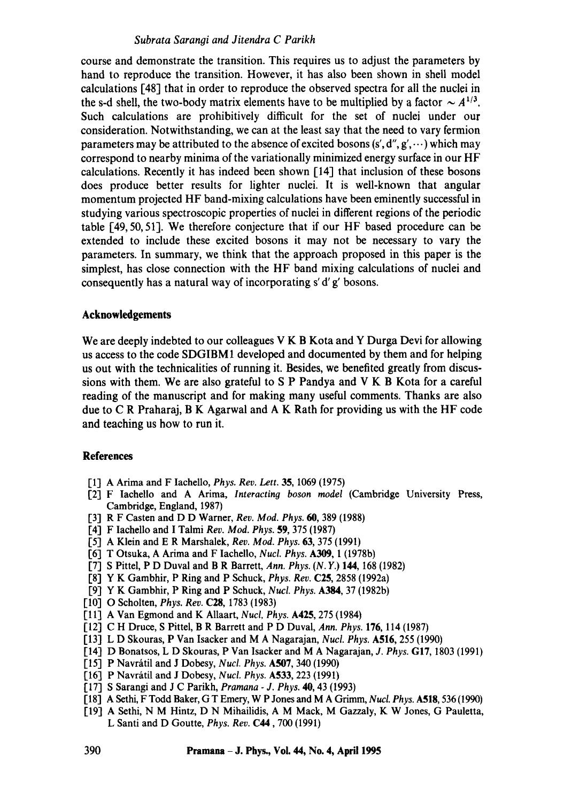## *Subrata Sarangi and Jitendra C Parikh*

course and demonstrate the transition. This requires us to adjust the parameters by hand to reproduce the transition. However, it has also been shown in shell model calculations [48] that in order to reproduce the observed spectra for all the nuclei in the s-d shell, the two-body matrix elements have to be multiplied by a factor  $\sim A^{1/3}$ . Such calculations are prohibitively difficult for the set of nuclei under our consideration. Notwithstanding, we can at the least say that the need to vary fermion parameters may be attributed to the absence of excited bosons  $(s', d'', g', \dots)$  which may correspond to nearby minima of the variationally minimized energy surface in our HF calculations. Recently it has indeed been shown [14] that inclusion of these bosons does produce better results for lighter nuclei. It is well-known that angular momentum projected HF band-mixing calculations have been eminently successful in studying various spectroscopic properties of nuclei in different regions of the periodic table [49, 50, 51]. We therefore conjecture that if our HF based procedure can be extended to include these excited bosons it may not be necessary to vary the parameters. In summary, we think that the approach proposed in this paper is the simplest, has close connection with the HF band mixing calculations of nuclei and consequently has a natural way of incorporating s' d' g' bosons.

## **Acknowledgements**

We are deeply indebted to our colleagues V K B Kota and Y Durga Devi for allowing us access to the code SDGIBM1 developed and documented by them and for helping us out with the technicalities of running it. Besides, we benefited greatly from discussions with them. We are also grateful to S P Pandya and V K B Kota for a careful reading of the manuscript and for making many useful comments. Thanks are also due to C R Praharaj, B K Agarwal and A K Rath for providing us with the HF code and teaching us how to run it.

#### **References**

- [1] A Arima and F Iachello, *Phys. Rev. Lett.* 35, 1069 (1975)
- [2] F Iachello and A Arima, *Interacting boson model* (Cambridge University Press, Cambridge, England, 1987)
- [3] R F Casten and D D Warner, *Rev. Mod. Phys. 60,* 389 (1988)
- [4] F Iachello and I Talmi *Rev. Mod. Phys.* 59, 375 (1987)
- [5] A Klein and E R Marshalek, *Rev. Mod. Phys.* 63, 375 (1991)
- [6] T Otsuka, A Arima and F Iachello, *Nucl. Phys.* A309, 1 (1978b)
- [7] S Pittel, P D Duval and B R Barrett, *Ann. Phys.* (N. Y.) 144, 168 (1982)
- [8] Y K Gambhir, P Ring and P Schuck, *Phys. Rev.* C25, 2858 (1992a)
- [9] Y K Gambhir, P Ring and P Schuck, *Nucl. Phys. A384,* 37 (1982b)
- [10] O Scholten, *Phys. Rev.* C28, 1783 (1983)
- [11] A Van Egmond and K Allaart, *Nucl, Phys.* A425, 275 (1984)
- [12] C H Druce, S Pittel, B R Barrett and P D Duval, *Ann. Phys.* 176, 114 (1987)
- [13] L D Skouras, P Van Isacker and M A Nagarajan, *Nucl. Phys.* A516, 255 (1990)
- [14] D Bonatsos, L D Skouras, P Van Isacker and M A Nagarajan, *J. Phys.* GI7, 1803 (1991)
- [15] P Navnitil and J Dobesy, *Nucl. Phys.* A507, 340 (1990)
- [16] P Navrátil and J Dobesy, *Nucl. Phys.* **A533**, 223 (1991)
- [17] S Sarangi and J C Parikh, *Pramana J. Phys.* **40,** 43 (1993)
- [18] A Sethi, F Todd Baker, G T Emery, W P Jones and M A Grimm, *Nucl. Phys.* A518, 536 (1990)
- [19] A Sethi, N M Hintz, D N Mihailidis, A M Mack, M Gazzaly, K W Jones, G Pauletta, L Santi and D Goutte, *Phys. Rev.* C44,700 (1991)